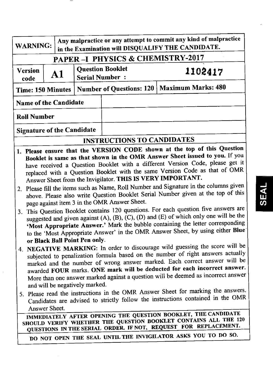| code                                                                                                                                                                                                                                                                                                                                                                                                                                                                                                                                                                                                                                                                                                                                                                                                        |                              |            |                                   |                                                                                                            |                                                                                                                                                                                                                                                                                                                                                                                                                                                                                                                                                                                                                                                                                                                                                                                                                                                                  |
|-------------------------------------------------------------------------------------------------------------------------------------------------------------------------------------------------------------------------------------------------------------------------------------------------------------------------------------------------------------------------------------------------------------------------------------------------------------------------------------------------------------------------------------------------------------------------------------------------------------------------------------------------------------------------------------------------------------------------------------------------------------------------------------------------------------|------------------------------|------------|-----------------------------------|------------------------------------------------------------------------------------------------------------|------------------------------------------------------------------------------------------------------------------------------------------------------------------------------------------------------------------------------------------------------------------------------------------------------------------------------------------------------------------------------------------------------------------------------------------------------------------------------------------------------------------------------------------------------------------------------------------------------------------------------------------------------------------------------------------------------------------------------------------------------------------------------------------------------------------------------------------------------------------|
| <b>Version</b>                                                                                                                                                                                                                                                                                                                                                                                                                                                                                                                                                                                                                                                                                                                                                                                              |                              |            |                                   | <b>PAPER -I PHYSICS &amp; CHEMISTRY-2017</b>                                                               |                                                                                                                                                                                                                                                                                                                                                                                                                                                                                                                                                                                                                                                                                                                                                                                                                                                                  |
|                                                                                                                                                                                                                                                                                                                                                                                                                                                                                                                                                                                                                                                                                                                                                                                                             |                              | ${\bf A1}$ | <b>Serial Number:</b>             | <b>Question Booklet</b>                                                                                    | 1102417                                                                                                                                                                                                                                                                                                                                                                                                                                                                                                                                                                                                                                                                                                                                                                                                                                                          |
|                                                                                                                                                                                                                                                                                                                                                                                                                                                                                                                                                                                                                                                                                                                                                                                                             | <b>Time: 150 Minutes</b>     |            |                                   |                                                                                                            | Number of Questions: 120   Maximum Marks: 480                                                                                                                                                                                                                                                                                                                                                                                                                                                                                                                                                                                                                                                                                                                                                                                                                    |
|                                                                                                                                                                                                                                                                                                                                                                                                                                                                                                                                                                                                                                                                                                                                                                                                             | <b>Name of the Candidate</b> |            |                                   |                                                                                                            |                                                                                                                                                                                                                                                                                                                                                                                                                                                                                                                                                                                                                                                                                                                                                                                                                                                                  |
|                                                                                                                                                                                                                                                                                                                                                                                                                                                                                                                                                                                                                                                                                                                                                                                                             | <b>Roll Number</b>           |            |                                   |                                                                                                            |                                                                                                                                                                                                                                                                                                                                                                                                                                                                                                                                                                                                                                                                                                                                                                                                                                                                  |
|                                                                                                                                                                                                                                                                                                                                                                                                                                                                                                                                                                                                                                                                                                                                                                                                             |                              |            | <b>Signature of the Candidate</b> |                                                                                                            |                                                                                                                                                                                                                                                                                                                                                                                                                                                                                                                                                                                                                                                                                                                                                                                                                                                                  |
|                                                                                                                                                                                                                                                                                                                                                                                                                                                                                                                                                                                                                                                                                                                                                                                                             |                              |            |                                   | <b>INSTRUCTIONS TO CANDIDATES</b>                                                                          |                                                                                                                                                                                                                                                                                                                                                                                                                                                                                                                                                                                                                                                                                                                                                                                                                                                                  |
| 3.                                                                                                                                                                                                                                                                                                                                                                                                                                                                                                                                                                                                                                                                                                                                                                                                          |                              |            |                                   | Answer Sheet from the Invigilator. THIS IS VERY IMPORTANT.<br>page against item 3 in the OMR Answer Sheet. | 1. Please ensure that the VERSION CODE shown at the top of this Question<br>Booklet is same as that shown in the OMR Answer Sheet issued to you. If you<br>have received a Question Booklet with a different Version Code, please get it<br>replaced with a Question Booklet with the same Version Code as that of OMR<br>2. Please fill the items such as Name, Roll Number and Signature in the columns given<br>above. Please also write Question Booklet Serial Number given at the top of this<br>This Question Booklet contains 120 questions. For each question five answers are<br>suggested and given against $(A)$ , $(B)$ , $(C)$ , $(D)$ and $(E)$ of which only one will be the<br>'Most Appropriate Answer.' Mark the bubble containing the letter corresponding<br>to the 'Most Appropriate Answer' in the OMR Answer Sheet, by using either Blue |
| or Black Ball Point Pen only.<br>4. NEGATIVE MARKING: In order to discourage wild guessing the score will be<br>subjected to penalization formula based on the number of right answers actually<br>marked and the number of wrong answer marked. Each correct answer will be<br>awarded FOUR marks. ONE mark will be deducted for each incorrect answer.<br>More than one answer marked against a question will be deemed as incorrect answer<br>and will be negatively marked.<br>5. Please read the instructions in the OMR Answer Sheet for marking the answers.<br>Candidates are advised to strictly follow the instructions contained in the OMR<br>Answer Sheet.<br>IMMEDIATELY AFTER OPENING THE QUESTION BOOKLET, THE CANDIDATE<br>SHOULD VERIFY WHETHER THE QUESTION BOOKLET CONTAINS ALL THE 120 |                              |            |                                   |                                                                                                            |                                                                                                                                                                                                                                                                                                                                                                                                                                                                                                                                                                                                                                                                                                                                                                                                                                                                  |
|                                                                                                                                                                                                                                                                                                                                                                                                                                                                                                                                                                                                                                                                                                                                                                                                             |                              |            |                                   |                                                                                                            | QUESTIONS IN THE SERIAL ORDER. IF NOT, REQUEST FOR REPLACEMENT.                                                                                                                                                                                                                                                                                                                                                                                                                                                                                                                                                                                                                                                                                                                                                                                                  |
|                                                                                                                                                                                                                                                                                                                                                                                                                                                                                                                                                                                                                                                                                                                                                                                                             |                              |            |                                   |                                                                                                            | DO NOT OPEN THE SEAL UNTIL THE INVIGILATOR ASKS YOU TO DO SO.                                                                                                                                                                                                                                                                                                                                                                                                                                                                                                                                                                                                                                                                                                                                                                                                    |

SEAL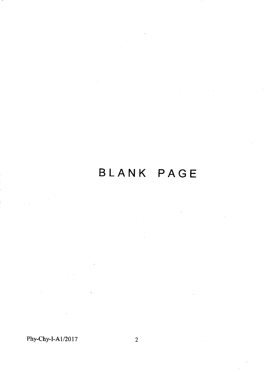# BLANK PAGE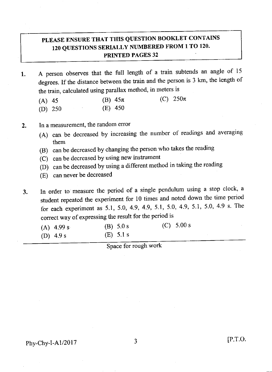# PLEASE ENSURE THAT THIS QUESTION BOOKLET CONTAINS <sup>120</sup>QUESTIONS SERIALLY NUMBERED FROM 1 TO 120. PRINTED PAGES 32

- 1 A person observes that the ful1 length of a train subtends an angle of <sup>15</sup> degrees. If the distance between the train and the person is 3 km, the length of the train, calculated using parallax method, in meters is
	- (A) 45 (B)  $45\pi$  (C)  $250\pi$
	- (A) 45 (B)  $45\pi$ <br>(D) 250 (E) 450
- In a measurement, the random error .,
	- (A) can be decreased by increasing the number of readings and averaging them
	- (B) can be decreased by changing the person who takes the reading
	- (c) can be decreased by using new instrument
	- (D) can be decreased by using a different method in taking the reading
	- (E) can never be decreased

In order to measure the period of a single pendulum using a stop clock, a student repeated the experiment for 10 times and noted down the time period for each experiment as 5.1, 5.0, 4.9, 4.9, 5.1, 5.0, 4.9, 5.1, 5.0, 4.9 s. The correct way of expressing the result for the period is 3

| $(A)$ 4.99 s | (B) $5.0 s$ | (C) $5.00 s$ |
|--------------|-------------|--------------|
| (D) $4.9 s$  | $(E)$ 5.1 s |              |

Space for rough work

 $Phy-Chy-I-A1/2017$  3 [P.T.O.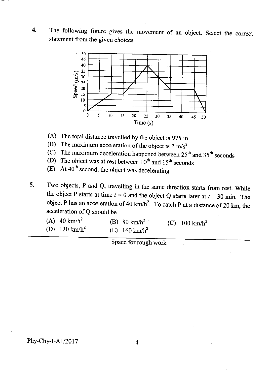4. The following figure gives the movement of an object. Select the correct statement from the given choices



- 
- (A) The total distance travelled by the object is 975 m<br>(B) The maximum acceleration of the object is  $2 \text{ m/s}^2$
- (C) The maximum deceleration happened between  $25^{th}$  and  $35^{th}$  seconds<br>
(D) The object was at rest between  $10^{th}$  and  $15^{th}$  seconds<br>
(E) At  $40^{th}$  second, the object was decelerating
- 
- 
- 5 Two objects, P and Q, travelling in the same direction starts from rest. while the object P starts at time  $t = 0$  and the object Q starts later at  $t = 30$  min. The object P has an acceleration of 40 km/h<sup>2</sup>. To catch P at a distance of 20 km, the acceleration of Q should be

| (A) $40 \text{ km/h}^2$ | (B) 80 km/h <sup>2</sup>  | (C) 100 $km/h^2$ |
|-------------------------|---------------------------|------------------|
| (D) 120 $km/h^2$        | (E) 160 km/h <sup>2</sup> |                  |

Space for rough work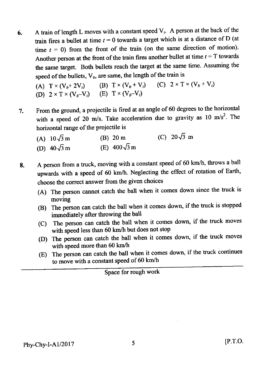6. A train of length L moves with a constant speed  $V_t$ . A person at the back of the train fires a bullet at time  $t = 0$  towards a target which is at a distance of D (at time  $t = 0$ ) from the front of the train (on the same direction of motion). Another person at the front of the train fires another bullet at time  $t = T$  towards the same target. Both bullets reach the target at the same time. Assuming the speed of the bullets,  $V_b$ , are same, the length of the train is

(A)  $T \times (V_b + 2V_i)$  (B)  $T \times (V_b + V_i)$  (C)  $2 \times T \times (V_b + V_i)$ (D)  $2 \times T \times (V_b-V_i)$  (E)  $T \times (V_b-V_i)$ 

From the ground, a projectile is fired at an angle of 60 degrees to the horizontal with a speed of 20 m/s. Take acceleration due to gravity as  $10 \text{ m/s}^2$ . The horizontal range of the projectile is 7.

(A)  $10\sqrt{3}$  m (B) 20 m (C)  $20\sqrt{3}$  m (D)  $40\sqrt{3}$  m (E)  $400\sqrt{3}$  m

- A person from a truck, moving with a constant speed of 60 km/h, throws a ball upwards with a speed of 60 km/h. Neglecting the effect of rotation of Earth, choose the correct answer from the given choices 8.
	- (A) The person cannot catch the ball when it comes down since the truck is moving
	- (B) The person can catch the ball when it comes down, if the truck is stopped immediatety after throwing the ball
	- (C) The person can catch the ball when it comes down, if the truck moves with speed less than 60 km/h but does not stop
	- (D) The person can catch the ball when it comes down, if the truck moves with speed more than 60 km/h
	- (E) The person can catch the ball when it comes down, if the truck continues to move with a constant speed of 60 km/h

Space for rough work

 $Phy-Chy-I-A1/2017$  5 [P.T.O.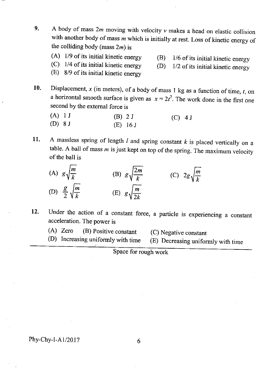- 9. A body of mass  $2m$  moving with velocity v makes a head on elastic collision with another body of mass  $m$  which is initially at rest. Loss of kinetic energy of the colliding body (mass  $2m$ ) is
	-
	-
	-
- Displacement,  $x$  (in meters), of a body of mass 1 kg as a function of time,  $t$ , on a horizontal smooth surface is given as  $x = 2t^2$ . The work done in the first one second by the external force is 10.
	- (A) 1 J (B) 2 J (C) 4 J (A) 1 J (B) 2 J<br>(D) 8 J (E) 16 J
- A massless spring of length  $l$  and spring constant  $k$  is placed vertically on a table. A ball of mass  $m$  is just kept on top of the spring. The maximum velocity of the ball is 11.

(A) 
$$
g\sqrt{\frac{m}{k}}
$$
 (B)  $g\sqrt{\frac{2m}{k}}$  (C)  $2g\sqrt{\frac{m}{k}}$   
\n(D)  $\frac{g}{2}\sqrt{\frac{m}{k}}$  (E)  $g\sqrt{\frac{m}{2k}}$ 

- 12. Under the action of a constant force, a particle is experiencing a constant acceleration. The power is
	- -
- (A) Zero (B) Positive constant (C) Negative constant (D) Increasing uniformly with time (E) Decreasing uniformly with time

### Space for rough work

- (A)  $1/9$  of its initial kinetic energy (B)  $1/6$  of its initial kinetic energy (C)  $1/4$  of its initial kinetic energy (D)  $1/2$  of its initial kinetic energy (E) 8/9 of its initial kinetic energy
	-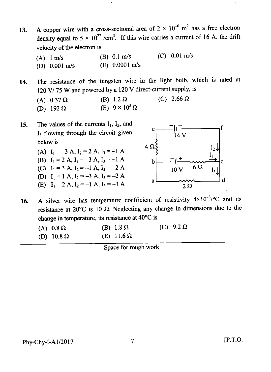13. A copper wire with a cross-sectional area of  $2 \times 10^{-6}$  m<sup>2</sup> has a free electron density equal to  $5 \times 10^{22}$  /cm<sup>3</sup>. If this wire carries a current of 16 A, the drift velocity of the electron is

(A)  $1 \text{ m/s}$  (B)  $0.1 \text{ m/s}$  (C)  $0.01 \text{ m/s}$ <br>(D)  $0.001 \text{ m/s}$  (E)  $0.0001 \text{ m/s}$ (D)  $0.001 \text{ m/s}$ 

t4. The resistance of the tungsten wire in the light bulb, which is rated at 120 V/75 W and powered by a 120 V direct-current supply, is

- (A)  $0.37 \Omega$  (B)  $1.2 \Omega$  (C)  $2.66 \Omega$
- (D) 192  $\Omega$  (E)  $9 \times 10^3 \Omega$

15. The values of the currents  $I_1$ ,  $I_2$ , and I<sub>3</sub> flowing through the circuit given below is

- (A)  $I_1 = -3 A$ ,  $I_2 = 2 A$ ,  $I_3 = -1 A$ (B)  $I_1 = 2 A$ ,  $I_2 = -3 A$ ,  $I_3 = -1 A$ (C)  $I_1 = 3 A$ ,  $I_2 = -1 A$ ,  $I_3 = -2 A$
- (D)  $I_1 = 1 A$ ,  $I_2 = -3 A$ ,  $I_3 = -2 A$
- (E)  $I_1 = 2 A$ ,  $I_2 = -1 A$ ,  $I_3 = -3 A$



16. A silver wire has temperature coefficient of resistivity  $4 \times 10^{-3}$ /°C and its resistance at 20°C is 10  $\Omega$ . Neglecting any change in dimensions due to the change in temperafure, its resistance at 40"C is

| (A) $0.8 \Omega$  | (B) $1.8 \Omega$  | (C) $9.2 \Omega$ |
|-------------------|-------------------|------------------|
| (D) $10.8 \Omega$ | (E) $11.6 \Omega$ |                  |

Space for rough work

 $Phy-Chy-I-A1/2017$  [P.T.O.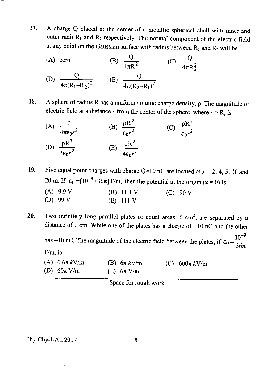17. A charge Q placed at the center of a metallic spherical shell with inner and outer radii  $R_1$  and  $R_2$  respectively. The normal component of the electric field at any point on the Gaussian surface with radius between  $R_1$  and  $R_2$  will be

(A) zero  
\n(B) 
$$
\frac{Q}{4\pi R_1^2}
$$
  
\n(C)  $\frac{Q}{4\pi R_2^2}$   
\n(D)  $\frac{Q}{4\pi (R_1 - R_2)^2}$   
\n(E)  $\frac{Q}{4\pi (R_2 - R_1)^2}$ 

18. A sphere of radius R has a uniform volume charge density,  $\rho$ . The magnitude of electric field at a distance r from the center of the sphere, where  $r > R$ , is

(A) 
$$
\frac{\rho}{4\pi\varepsilon_0 r^2}
$$
 (B)  $\frac{\rho R^2}{\varepsilon_0 r^2}$  (C)  $\frac{\rho R^3}{\varepsilon_0 r^2}$   
\n(D)  $\frac{\rho R^3}{3\varepsilon_0 r^2}$  (E)  $\frac{\rho R^2}{4\varepsilon_0 r^2}$ 

19. Five equal point charges with charge Q=10 nC are located at  $x = 2, 4, 5, 10$  and 20 m. If  $\varepsilon_0 = [10^{-9} / 36\pi]$  F/m, then the potential at the origin (x = 0) is

| $(A)$ 9.9 V | $(B)$ 11.1 V | $(C)$ 90 V |
|-------------|--------------|------------|
| (D) 99 V    | $(E)$ 111 V  |            |

20. Two infinitely long parallel plates of equal areas,  $6 \text{ cm}^2$ , are separated by a distance of 1 cm. While one of the plates has a charge of  $+10$  nC and the other has -10 nC. The magnitude of the electric field between the plates, if  $\varepsilon_0 = \frac{10^{-3}}{36\pi}$ F/m, is

(A)  $0.6π$  kV/m (D)  $60π$  V/m (C) 600π  $kV/m$ (B)  $6\pi kV/m$ (E) 6n V/m

Space for rough work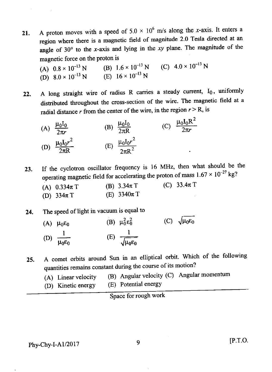- 21. A proton moves with a speed of  $5.0 \times 10^6$  m/s along the x-axis. It enters a region where there is a magnetic field of magnitude 2.0 Tesla directed at an angle of  $30^\circ$  to the x-axis and lying in the xy plane. The magnitude of the
	- magnetic force on the proton is<br>(A)  $0.8 \times 10^{-13}$  N (B) 1. (A)  $0.8 \times 10^{-13}$  N (B)  $1.6 \times 10^{-13}$  N (C)  $4.0 \times 10^{-13}$  N (D)  $8.0 \times 10^{-13}$  N (E)  $16 \times 10^{-13}$  N (E)  $16 \times 10^{-13}$  N
- 22 A long straight wire of radius R carries a steady current,  $I_0$ , uniformly distributed throughout the cross-section of the wire. The magnetic field at a radial distance r from the center of the wire, in the region  $r > R$ , is

(A) 
$$
\frac{\mu_0 I_0}{2\pi r}
$$
 (B)  $\frac{\mu_0 I_0}{2\pi R}$  (C)  $\frac{\mu_0 I_0 R^2}{2\pi r}$   
\n(D)  $\frac{\mu_0 I_0 r^2}{2\pi R}$  (E)  $\frac{\mu_0 I_0 r^2}{2\pi R^2}$ 

23. If the cyclotron oscillator frequency is 16 MHz, then what should be the operating magnetic field for accelerating the proton of mass  $1.67 \times 10^{-27}$  kg?

(A)  $0.334\pi$  T (D)  $334\pi$  T (B)  $3.34\pi$  T (E)  $3340\pi$  T (C)  $33.4\pi$  T

#### 24 The speed of light in vacuum is equal to

- (D)  $\frac{1}{\sqrt{2}}$  (E) (C)  $\sqrt{\mu_0 \epsilon_0}$ (A)  $\mu_0 \varepsilon_0$  (B)  $\mu_0^2 \varepsilon_0^2$ I  $\frac{1}{\sqrt{\mu_0}}$  $\mu_0$ c $_0$
- 25. A comet orbits around Sun in an elliptical orbit. Which of the following quantities remains constant during the course of its motion?

| $\sim$ $\sim$ |                     |                                           |  |
|---------------|---------------------|-------------------------------------------|--|
|               | (A) Linear velocity | (B) Angular velocity (C) Angular momentum |  |
|               |                     |                                           |  |

(D) Kinetic energy (E) Potential energy

Space for rough work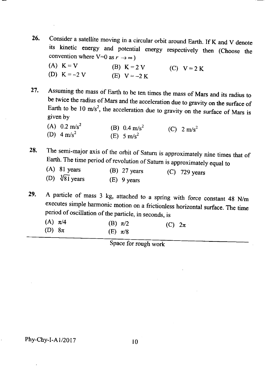- 26. consider a satellite moving in a circular orbit around Earth. If K and v denote its kinetic energy and potential energy respectively then (Choose the convention where V=0 as  $r \rightarrow \infty$ )<br>
(A) K = V (B) K = 2 V
	- (A)  $K = V$ <br>
	(B)  $K = 2 V$ <br>
	(C)  $V = 2 K$ <br>
	(E)  $V = -2 K$
- 27. Assuming the mass of Earth to be ten times the mass of Mars and its radius to be twice the radius of Mars and the acceleration due to gravity on the surface of Earth to be 10 m/s<sup>2</sup>, the acceleration due to gravity on the surface of Mars is given by
	- (A)  $0.2 \text{ m/s}^2$ <br>
	(B)  $0.4 \text{ m/s}^2$ <br>
	(C)  $2 \text{ m/s}^2$ <br>
	(E)  $5 \text{ m/s}^2$ <br>
	(C)  $2 \text{ m/s}^2$
- 28. The semi-major axis of the orbit of Satum is approximately nine times that of
	- Earth. The time period of revolution of Saturn is approximately equal to (A) 81 years (B) 27 years (C) 729 years (D)  $\sqrt[3]{81}$  years (E) 9 years

29. <sup>A</sup>particle of mass 3 kg, attached to a spring with force constant 4g N/m executes simple harmonic motion on a frictionless horizontal surface. The time period of oscillation of the particle, in seconds, is

- (A)  $\pi/4$ (D) 8n (B)  $\pi/2$ (C)  $2\pi$
- (E)  $π/8$

Space for rough work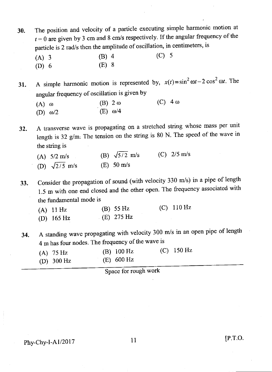- 30. The position and velocity of a particle executing simple hannonic motion at  $t=0$  are given by 3 cm and 8 cm/s respectively. If the angular frequency of the particle is 2 rad/s then the amplitude of oscillation, in centimeters, is
	- (A) <sup>3</sup> (D) 6 (B) 4 (E) <sup>8</sup>  $(C)$  5

31. A simple harmonic motion is represented by,  $x(t) = \sin^2 \omega t - 2 \cos^2 \omega t$ . The angular frequency of oscillation is given by

(A)  $\omega$  (B) 2 $\omega$  (C) 4 $\omega$ <br>(D)  $\omega/2$  (E)  $\omega/4$ (D)  $\omega/2$ 

32. A transverse wave is propagating on a stretched string whose mass per unit length is 32 g/m. The tension on the string is 80 N. The speed of the wave in the string is

(A)  $5/2$  m/s (B)  $\sqrt{5/2}$  m/s (C)  $2/5$  m/s (D)  $\sqrt{2/5}$  m/s (E) 50 m/s

33. Consider the propagation of sound (with velocity 330 m/s) in a pipe of length 1.5 m with one end closed and the other open. The frequency associated with the fundamental mode is

| $(A)$ 11 Hz          | $(B)$ 55 Hz          | $(C)$ 110 Hz |
|----------------------|----------------------|--------------|
| (D) $165 \text{ Hz}$ | (E) $275 \text{ Hz}$ |              |

34. <sup>A</sup>standing wave propagating with velocity 300 m/s in an open pipe of length 4 m has four nodes. The frequency of the wave is

| $(A)$ 75 Hz          | $(B)$ 100 Hz | $(C)$ 150 Hz |
|----------------------|--------------|--------------|
| (D) $300 \text{ Hz}$ | $(E)$ 600 Hz |              |
|                      |              |              |

Space for rough work

Phy-Chy-I-A1/2017 11 [P.T.O.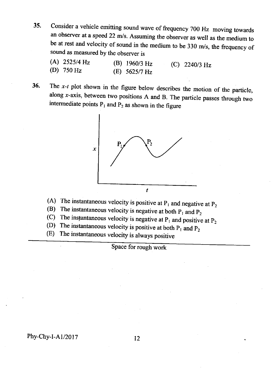- 35. consider a vehicle emitting sound wave of frequency 700 Hz moving towards an observer at a speed 22 m/s. Assuming the observer as well as the medium to be at rest and velocity of sound in the medium to be 330 m/s, the frequency of sound as measured by the observer is
	- (A) 2525/4 Hz (B) 1960/3 Hz (C) 2240/3 Hz<br>(D) 750 Hz (E) 5625/7 Hz
- 36. The  $x$ -t plot shown in the figure below describes the motion of the particle, along  $x$ -axis, between two positions A and B. The particle passes through two intermediate points  $P_1$  and  $P_2$  as shown in the figure



- (A) The instantaneous velocity is positive at P<sub>1</sub> and negative at P<sub>2</sub>
- (B) The instantaneous velocity is negative at both  $P_1$  and  $P_2$
- (C) The instantaneous velocity is negative at  $P_1$  and positive at  $P_2$
- (D) The instantaneous velocity is positive at both  $P_1$  and  $P_2$
- (E) The instantaneous velocity is always positive

Space for rough work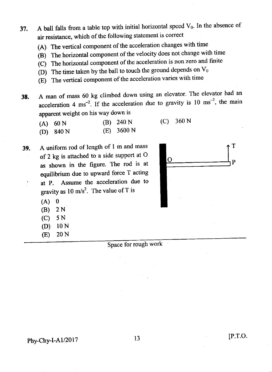- 37. A ball falls from a table top with initial horizontal speed  $V_0$ . In the absence of air resistance, which of the following statement is correct
	- (A) The vertical component of the acceleration changes with time
	- (B) The horizontal component of the velocity does not change with time
	- (C) The horizontal component of the acceleration is non zero and finite
	- (D) The time taken by the ball to touch the ground depends on  $V_0$
	- (E) The vertical component of the acceleration varies with time
- 38. A man of mass 60 kg climbed down using an elevator. The elevator had an acceleration 4 ms<sup>-2</sup>. If the acceleration due to gravity is 10 ms<sup>-2</sup>, the main apparent weight on his way down is
	- (A) 60 N (B) 240 N (C) 360 N (D) 840 N (E) 3600 N

39. A uniform rod of length of I m and mass of 2 kg is attached to a side support at O as shown in the figure. The rod is at equilibrium due to upward force T acting at P. Assume the acceleration due to gravity as  $10 \text{ m/s}^2$ . The value of T is



- $(A) 0$
- (B) 2N
- $(C)$  5 N
- (D)  $10N$
- (E) 20 N

Space for rough work

Phy-Chy-I-A1/2017 13 [P.T.O.]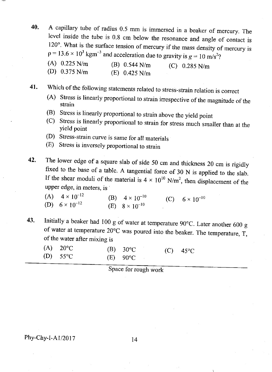40 <sup>A</sup>capillary tube of radius 0.5 mm is immersed in a beaker of mercury. The level inside the tube is 0.8 cm below the resonance and angle of contact is 120°. What is the surface tension of mercury if the mass density of mercury is  $\rho = 13.6 \times 10^3$  kgm<sup>-3</sup> and acceleration due to gravity is  $g = 10$  m/s<sup>2</sup>?

- 41.
- Which of the following statements related to stress-strain relation is correct (A) Stress is linearly proportional to strain irrespective of the magnitude of the strain
	- (B) Stress is linearly proportional to strain above the yield point
	- (c) Stress is linearly proportional to strain for stress much smaller than at the yield point
	- (D) Stress-strain curve is same for all materials
	- (E) Stress is inversely proportional to strain
- 42. The lower edge of a square slab of side 50 cm and thickness 20 cm is rigidly fixed to the base of a table. A tangential force of 30 N is applied to the slab. If the shear moduli of the material is  $4 \times 10^{10}$  N/m<sup>2</sup>, then displacement of the upper edge, in meters, is '

(A)  $4 \times 10^{-12}$  (B)  $4 \times 10^{-10}$  (C)  $6 \times 10^{-12}$ <br>(D)  $6 \times 10^{-12}$  (E)  $8 \times 10^{-10}$ 

43 Initially a beaker had 100 g of water at temperature 90 $^{\circ}$ C. Later another 600 g of water at temperature  $20^{\circ}$ C was poured into the beaker. The temperature, T, of the water after mixing is

| $(A)$ 20 <sup>o</sup> C | (B) $30^{\circ}$ C | $(C)$ 45 <sup>o</sup> C |
|-------------------------|--------------------|-------------------------|
| $(D)$ 55°C              | $(E)$ 90°C         |                         |

Space for rough work

<sup>(</sup>A) 0.225 N/m (D) 0.375 N/m (B) 0.s44 N/m (E) 0.425 N/m (C) 0.28s N/m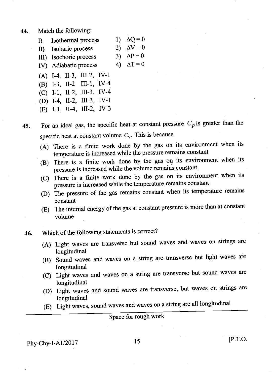- 44. Match the following:
	- Isothermal process  $\Gamma$ 1)  $\Delta$ O = 0
	- II) Isobaric process  $\overrightarrow{2}$   $\Delta V = 0$
	- III) Isochoric process 3)  $\Delta P = 0$
	- Adiabatic process IV) 4)  $\Delta T = 0$
	- $(A)$  I-4, II-3, III-2, IV-1
	- $(B)$  I-3, II-2 III-1, IV-4
	- (C) I-1, II-2, III-3, IV-4
	- t-4, ll-2, III-3, IV-l (D)
	- (E) I-1, II-4, III-2, IV-3
- 45 For an ideal gas, the specific heat at constant pressure  $C_p$  is greater than the specific heat at constant volume  $C_v$ . This is because
	- (A) There is a finite work done by the gas on its environment when its temperature is increased while the pressure remains constant
	- (B) There is a finite work done by the gas on its environment when its pressue is increased while the volume remains constant
	- (C) There is a finite work done by the gas on its environment when its pressure is increased while the temperafure remains constant
	- (D) The pressure of the gas remains constant when its temperature remains constant
	- (E) The internal energy of the gas at constant pressure is more than at constant volume
	- 46. Which of the following statements is correct?
		- (A) Light waves are transveise but sound waves and waves on strings are longitudinal
		- (B) Sound waves and waves on a string are transverse but light waves are longitudinal
		- (C) Light waves and waves on a string are transverse but sound waves are longitudinal
		- (D) Light waves and sound waves are transverse, but waves on strings are longitudinal
		- Light waves, sound waves and waves on a string are all longitudinal (E)

Space for rough work

Phy-Chy-I-A1/2017 15 [P.T.O.]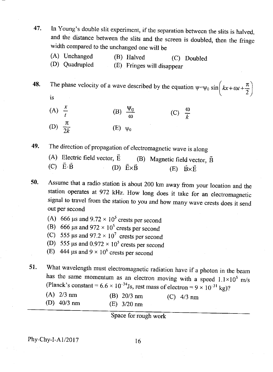47. In Young's double slit experiment, if the separation between the slits is halved, and the distance between the slits and the screen is doubled, then the fringe width compared to the unchanged one will be

- (A) Unchanged (B) Halved (C) Doubled (D) Quadrupled (E) Fringes will disappear
- 

48 The phase velocity of a wave described by the equation  $\psi = \psi_0 \sin \left(kx + \omega t + \frac{\pi}{2}\right)$ is  $\left(\frac{2}{\pi} \right)^2$  is  $2\pi$  and  $\left(\frac{2}{\pi} \right)^2$ 

(A)  $\frac{x}{t}$  (B)  $\frac{\Psi_0}{\omega}$  (C) (E)  $\Psi_0$ x t (D)  $\frac{\pi}{2k}$  $\omega$ k

49. The direction of propagation of electromagnetic wave is along

(A) Electric field vector,  $\vec{E}$  (B) Magnetic field vector,  $\vec{B}$ <br>(C)  $\vec{E} \cdot \vec{B}$  (D)  $\vec{E} \times \vec{B}$  (F)  $\vec{B} \times \vec{F}$ (C)  $\vec{E} \cdot \vec{B}$  (D)  $\vec{E} \times \vec{B}$  (E)  $\vec{B} \times \vec{E}$ 

50. Assume that a radio station is about 200 km away from your location and the station operates at 972 kHz. How long does it take for an electromagnetic signal to travel from the station to you and how many wave crests does it send out per second

- (A) 666  $\mu$ s and 9.72 × 10<sup>5</sup> crests per second (B) 666  $\mu$ s and 972 × 10<sup>5</sup> crests per second
- 
- (C) 555  $\mu$ s and 97.2 × 10<sup>7</sup> crests per second
- (D) 555  $\mu$ s and 0.972 × 10<sup>5</sup> crests per second
- (E) 444  $\mu$ s and 9 × 10<sup>6</sup> crests per second

51. what wavelength must electromagnetic radiation have if a photon in the beam has the same momentum as an electron moving with a speed  $1.1 \times 10^5$  m/s (Planck's constant =  $6.6 \times 10^{-34}$ Js, rest mass of electron =  $9 \times 10^{-31}$  kg)?

| $(A)$ 2/3 nm  | (B) $20/3$ nm | (C) $4/3$ nm |
|---------------|---------------|--------------|
| (D) $40/3$ nm | $(E)$ 3/20 nm |              |

### Space for rough work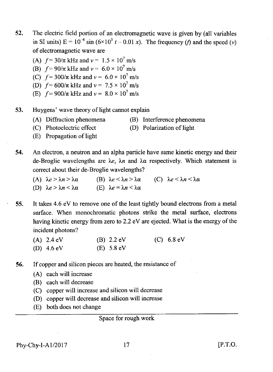- 52. The electric field portion of an electromagnetic wave is given by (all variables in SI units)  $E = 10^{-4} \sin (6 \times 10^{5} t - 0.01 x)$ . The frequency (*f*) and the speed (*v*) of electromagnetic wave are
	- (A)  $f = 30/\pi$  kHz and  $v = 1.5 \times 10^7$  m/s
	- (B)  $f = 90/\pi$  kHz and  $v = 6.0 \times 10^7$  m/s
	- (C)  $f = 300/\pi$  kHz and  $v = 6.0 \times 10^7$  m/s
	- (D)  $f = 600/\pi$  kHz and  $v = 7.5 \times 10^7$  m/s
	- (E)  $f = 900/\pi \text{ kHz}$  and  $v = 8.0 \times 10^{7} \text{ m/s}$
- 53. Huygens' wave theory of light cannot explain
	- (A) Diffraction phenomena (B) Interference phenomena
	- (C) Photoelectric effect (D) Polarization of light
- - (E) Propagation of light

54 An electron, a neutron and an alpha particle have same kinetic energy and their de-Broglie wavelengths are  $\lambda e$ ,  $\lambda n$  and  $\lambda \alpha$  respectively. Which statement is correct about their de-Broglie wavelengths?

- (A)  $\lambda e > \lambda n > \lambda \alpha$  (B)  $\lambda e < \lambda n > \lambda \alpha$  (C)  $\lambda e < \lambda n < \lambda \alpha$ (D)  $\lambda e > \lambda n < \lambda \alpha$  (E)  $\lambda e = \lambda n < \lambda \alpha$
- 55. It takes 4.6 eV to remove one of the least tightly bound electrons from a metal surface. When monochromatic photons strike the metal surface, electrons having kinetic energy from zero to 2.2 eY are ejected. What is the energy of the incident photons?
	- (A) 2.4eV (B) 2.2eY (C) 6.8eV (D) 4.6 eV (E) 5.8 eV
- 56. If copper and silicon pieces are heated, the resistance of
	- (A) each will increase
	- (B) each will decrease
	- (C) copper will increase and silicon will decrease
	- (D) copper will decrease and silicon will increase
	- (E) both does not change

Space for rough work

Phy-Chy-I-A1/2017 17 [P.T.O.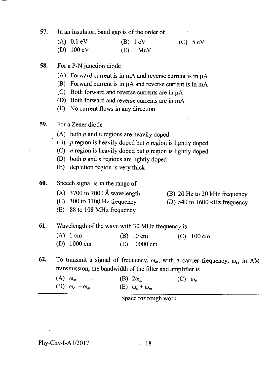57. In an insulator, band gap is of the order of

| (A) 0.1 eV           | $(B)$ 1 eV  | $(C)$ 5 eV |
|----------------------|-------------|------------|
| (D) $100 \text{ eV}$ | $(E)$ 1 MeV |            |

- 58. For a P-N junction diode
	- (A) Forward current is in mA and reverse current is in  $\mu$ A
	- (B) Forward current is in pA and reverse current is in mA
	- (C) Both forward and reverse currents are in  $\mu$ A
	- (D) Both forward and reverse currents are in mA

(E) No current flows in any direction

#### 59. For a Zener diode

- (A) both  $p$  and  $n$  regions are heavily doped
- (B)  $p$  region is heavily doped but *n* region is lightly doped
- (C) *n* region is heavily doped but *p* region is lightly doped
- (D) both  $p$  and  $n$  regions are lightly doped
- (E) depletion region is very thick

#### 60. Speech signal is in the range of

- (A) 3700 to 7000 A wavelength
- (C) 300 to 3100 Hz frequency
- (E) 88 to 108 MHz frequency
	-

(B) 20 Hz to 20 kllz frequency (D) 540 to 1600 kHz frequency

#### 61. Wavelength of the wave with 30 MHz frequency is

| $(A)$ 1 cm            | (B) $10 \text{ cm}$ | (C) $100 \text{ cm}$ |
|-----------------------|---------------------|----------------------|
| (D) $1000 \text{ cm}$ | $(E)$ 10000 cm      |                      |

62 To transmit a signal of frequency,  $\omega_m$ , with a carrier frequency,  $\omega_c$ , in AM transmission, the bandwidth of the filter and amplifier is

| $(A)$ $\omega_m$          | (B) $2\omega_m$           | $(C)$ $\omega_c$ |  |
|---------------------------|---------------------------|------------------|--|
| (D) $\omega_c - \omega_m$ | (E) $\omega_c + \omega_m$ |                  |  |

Space for rough work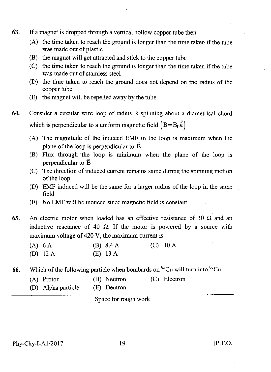- 63. If a magnet is dropped through a vertical hollow copper tube then
	- (A) the time taken to reach the ground is longer than the time taken if the tube was made out of plastic
	- (B) the magnet will get attracted and stick to the copper tube
	- (C) the time taken to reach the ground is longer than the time taken if the tube was made out of stainless steel
	- (D) the time taken to reach the ground does not depend on the radius of the copper tube
	- (E) the magnet will be repelled away by the tube
- 64. Consider a circular wire loop of radius R spiruring about a diametrical chord which is perpendicular to a uniform magnetic field  $\left(\overline{B}=B_0\hat{k}\right)$ 
	- (A) The magnitude of the induced EMF in the loop is maximum when the plane of the loop is perpendicular to E
	- (B) Flux through the loop is minimum when the plane of the loop is perpendicular to  $\vec{B}$
	- (C) The direction of induced current remains same during the spinning motion of the loop
	- (D) EMF induced will be the same for a larger radius of the loop in the same field
	- (E) No EMF will be induced since magnetic field is constant

An electric motor when loaded has an effective resistance of 30  $\Omega$  and an inductive reactance of 40  $\Omega$ . If the motor is powered by a source with maximum voltage of 420 V, the maximum current is 65.

| $(A)$ 6 A |            | (B) $8.4 A$ | (C) 10 A |
|-----------|------------|-------------|----------|
|           | $(D)$ 12 A | $(E)$ 13 A  |          |

Which of the following particle when bombards on  ${}^{65}Cu$  will turn into  ${}^{66}Cu$ 66.

| (A) Proton                     | (B) Neutron | (C) Electron |
|--------------------------------|-------------|--------------|
| (D) Alpha particle (E) Deutron |             |              |

Space for rough work

 $Phy-Chy-I-A1/2017$  19 [P.T.O.]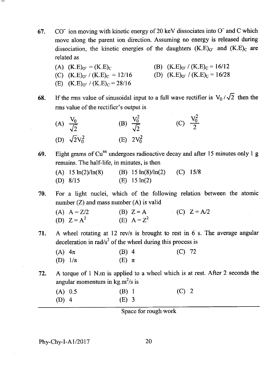- 67.  $CO<sup>-</sup>$  ion moving with kinetic energy of 20 keV dissociates into  $O<sup>-</sup>$  and C which move along the parent ion direction. Assuming no energy is released during dissociation, the kinetic energies of the daughters  $(K.E)<sub>O</sub>$  and  $(K.E)<sub>C</sub>$  are related as
	- (A)  $(K.E)_C = (K.E)_C$ <br>
	(B)  $(K.E)_O / (K.E)_C = 16/12$ <br>
	(C)  $(K.E)_O / (K.E)_C = 12/16$ <br>
	(D)  $(K.E)_O / (K.E)_C = 16/28$ 
		-
	- (C)  $(K.E)<sub>O</sub> / (K.E)<sub>C</sub> = 12/16$

68

- 
- (E)  $(K.E)<sub>O</sub> / (K.E)<sub>C</sub> = 28/16$

If the rms value of sinusoidal input to a full wave rectifier is  $V_0 / \sqrt{2}$  then the rms value of the rectifier's output is

| (A) $\frac{V_0}{\sqrt{2}}$ | (B) $\frac{V_0^2}{\sqrt{2}}$ | (C) $\frac{V_0^2}{2}$ |  |
|----------------------------|------------------------------|-----------------------|--|
| (D) $\sqrt{2}V_0^2$        | (E) $2V_0^2$                 |                       |  |

69. Eight grams of  $Cu<sup>66</sup>$  undergoes radioactive decay and after 15 minutes only 1 g remains. The half-life, in minutes, is then

| (A) $15 \ln(2)/\ln(8)$ | (B) $15 \ln(8)/\ln(2)$ | $(C)$ 15/8 |
|------------------------|------------------------|------------|
| (D) 8/15               | (E) 15 $ln(2)$         |            |

70. For a light nuclei, which of the following relation between the atomic number (Z) and mass number (A) is valid

(A)  $A = Z/2$  (B)  $Z = A$  (C)  $Z = A/2$ <br>(D)  $Z = A^2$  (E)  $A = Z^2$ (E)  $A = Z^2$ 

71. A wheel rotating at 12 rev/s is brought to rest in 6 s. The average angular deceleration in rad/ $s^2$  of the wheel during this process is

| (A) $4\pi$ |             | (B) 4       | $(C)$ 72 |  |
|------------|-------------|-------------|----------|--|
|            | (D) $1/\pi$ | $(E)$ $\pi$ |          |  |

72. A torque of 1 N.m is applied to a wheel which is at rest. After 2 seconds the angular momentum in kg.m<sup>2</sup>/s is

| (A) 0.5 | $(B)$ 1 | $(C)$ 2 |  |
|---------|---------|---------|--|
| $(D)$ 4 | $(E)$ 3 |         |  |

Space for rough work

Phy-Chy-I-Al/2017 20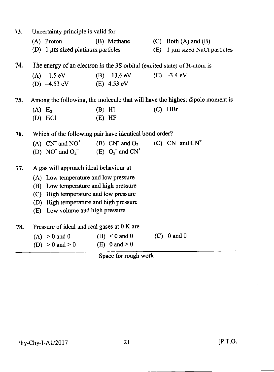- 13. Uncertainty principle is valid for
	- (A) Proton (B) Methane  $(C)$  Both  $(A)$  and  $(B)$
	- (D)  $1 \mu m$  sized platinum particles  $(E)$  1 µm sized NaCl particles

74. The energy of an electron in the 3S orbital (excited state) of H-atom is

- (A)  $-1.5 \text{ eV}$  (B)  $-13.6 \text{ eV}$  (C)  $-3.4 \text{ eV}$ <br>(D)  $-4.53 \text{ eV}$  (E)  $4.53 \text{ eV}$ (D)  $-4.53$  eV
- 75. Among the following, the molecule that will have the highest dipole moment is
	- (A)  $H_2$  (B) HI (C) HBr
	- (D) HCI (E) HF
- 16. Which of the following pair have identical bond order?
	- (A)  $CN^-$  and  $NO^+$  (B)  $CN^-$  and  $O_2^-$  (C)  $CN^-$  and  $CN^+$
	- (D) NO<sup>+</sup> and O<sub>2</sub><sup>-</sup> (E) O<sub>2</sub><sup>-</sup> and CN<sup>+</sup>
- 77. A gas will approach ideal behaviour at
	- (A) Low temperatue and low pressure
	- (B) Low temperature and high pressure
	- (C) High temperature and low pressure
	- (D) High temperature and high pressure
	- (E) Low volume and high pressure
- 78. Pressure of ideal and real gases at 0 K are
	- (A)  $> 0$  and 0 (B)  $< 0$  and 0  $(C)$  0 and 0
	- (D)  $>0$  and  $>0$  (E) 0 and  $>0$

Space for rough work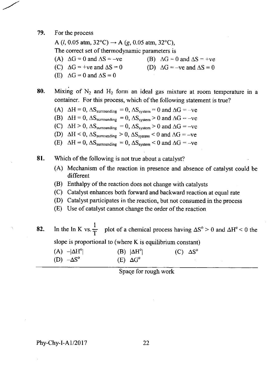#### 79. For the process

A (l, 0.05 atm, 32°C)  $\rightarrow$  A (g, 0.05 atm, 32°C), The correct set of thermodynamic parameters is (A)  $\Delta G = 0$  and  $\Delta S = -ve$  (B)  $\Delta G = 0$  and  $\Delta S = +ve$  (C)  $\Delta G = +ve$  and  $\Delta S = 0$  (D)  $\Delta G = -ve$  and  $\Delta S = 0$ (D)  $\Delta G = -ve$  and  $\Delta S = 0$ (E)  $\Delta G = 0$  and  $\Delta S = 0$ 

80. Mixing of  $N_2$  and  $H_2$  form an ideal gas mixture at room temperature in a container. For this process, which of the following statement is true?

- (A)  $\Delta H = 0$ ,  $\Delta S_{\text{surrounding}} = 0$ ,  $\Delta S_{\text{system}} = 0$  and  $\Delta G = -ve$
- (B)  $\Delta H = 0$ ,  $\Delta S_{\text{surrounding}} = 0$ ,  $\Delta S_{\text{system}} > 0$  and  $\Delta G = -ve$
- (C)  $\Delta H > 0$ ,  $\Delta S_{\text{surrounding}} = 0$ ,  $\Delta S_{\text{system}} > 0$  and  $\Delta G = -ve$
- (D)  $\Delta H < 0$ ,  $\Delta S_{\text{surrounding}} > 0$ ,  $\Delta S_{\text{system}} < 0$  and  $\Delta G = -ve$
- (E)  $\Delta H = 0$ ,  $\Delta S_{\text{surrounding}} = 0$ ,  $\Delta S_{\text{system}} < 0$  and  $\Delta G = -ve$

81. Which of the following is not true about a catalyst?

- (A) Mechanism of the reaction in presence and absence of catalyst could be different
- (B) Enthalpy of the reaction does not change with catalysts
- (C) Catalyst enhances both forward and backward reaction at equal rate
- (D) Catalyst participates in the reaction, but not consurned in the process
- (E) Use of catalyst cannot change the order of the reaction
- **82.** In the ln K vs.  $\frac{1}{T}$  plot of a chemical process having  $\Delta S^{\circ} > 0$  and  $\Delta H^{\circ} < 0$  the slope is proportional to (where K is equilibrium constant)

| $(A)$ $- \Delta H^{\circ} $ | $(B)$ $ \Delta H^{\circ} $ | $(C) \Delta S^{\circ}$ |  |
|-----------------------------|----------------------------|------------------------|--|
| $(D) -\Delta S^{\circ}$     | $(E) \Delta G^{\circ}$     |                        |  |

Space for rough work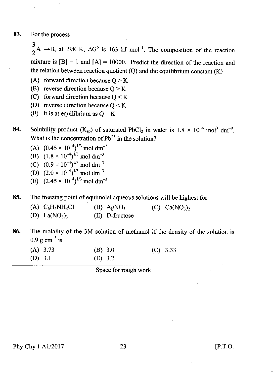### 83. For the process

 $\frac{3}{2}A \rightarrow B$ , at 298 K,  $\Delta G^{\circ}$  is 163 kJ mol<sup>-1</sup>. The composition of the reaction mixture is  $[B] = 1$  and  $[A] = 10000$ . Predict the direction of the reaction and the relation between reaction quotient  $(Q)$  and the equilibrium constant  $(K)$ 

- (A) forward direction because  $Q > K$
- (B) reverse direction because  $Q > K$
- (C) forward direction because  $O \le K$
- (D) reverse direction because  $Q \le K$
- (E) it is at equilibrium as  $Q = K$
- 84. Solubility product  $(K_{sp})$  of saturated PbCl<sub>2</sub> in water is  $1.8 \times 10^{-4}$  mol<sup>3</sup> dm<sup>-9</sup>. What is the concentration of  $Pb^{2+}$  in the solution?
	- (A)  $(0.45 \times 10^{-4})^{1/3}$  mol dm<sup>-3</sup>
	- (B)  $(1.8 \times 10^{-4})^{1/3}$  mol dm<sup>-3</sup>
	- (C)  $(0.9 \times 10^{-4})^{1/3}$  mol dm<sup>-3</sup>
	- (D)  $(2.0 \times 10^{-4})^{1/3}$  mol dm<sup>-3</sup>
	- (E)  $(2.45 \times 10^{-4})^{1/3}$  mol dm<sup>-3</sup>

85. The freezing point of equimolal aqueous solutions will be highest for

- (A)  $C_6H_5NH_3Cl$  (B) AgNO<sub>3</sub> (C)  $Ca(NO_3)_2$ (D) La $(NO_3)$ <sub>3</sub> (E) D-fructose
- E6. The molality of the 3M solution of methanol if the density of the solution is  $0.9$  g cm<sup>-3</sup> is

|         | $(A)$ 3.73 | (B) 3.0   | $(C)$ 3.33 |
|---------|------------|-----------|------------|
| (D) 3.1 |            | $(E)$ 3.2 |            |

Space for rough work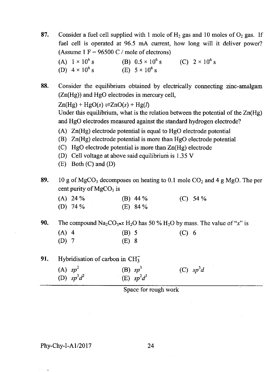| 87. | Consider a fuel cell supplied with 1 mole of $H_2$ gas and 10 moles of $O_2$ gas. If<br>fuel cell is operated at 96.5 mA current, how long will it deliver power? |                                                                                                                             |                                                                                                                                                            |  |  |  |
|-----|-------------------------------------------------------------------------------------------------------------------------------------------------------------------|-----------------------------------------------------------------------------------------------------------------------------|------------------------------------------------------------------------------------------------------------------------------------------------------------|--|--|--|
|     | (Assume $1 F = 96500 C /$ mole of electrons)                                                                                                                      |                                                                                                                             |                                                                                                                                                            |  |  |  |
|     |                                                                                                                                                                   |                                                                                                                             |                                                                                                                                                            |  |  |  |
|     |                                                                                                                                                                   | (A) $1 \times 10^6$ s<br>(B) $0.5 \times 10^6$ s<br>(C) $2 \times 10^6$ s<br>(D) $4 \times 10^6$ s<br>(E) $5 \times 10^6$ s |                                                                                                                                                            |  |  |  |
| 88. |                                                                                                                                                                   |                                                                                                                             | Consider the equilibrium obtained by electrically connecting zinc-amalgam                                                                                  |  |  |  |
|     |                                                                                                                                                                   | $(Zn(Hg))$ and HgO electrodes in mercury cell,                                                                              |                                                                                                                                                            |  |  |  |
|     | $Zn(Hg) + HgO(s) \rightleftharpoons ZnO(s) + Hg(l)$                                                                                                               |                                                                                                                             |                                                                                                                                                            |  |  |  |
|     |                                                                                                                                                                   |                                                                                                                             | Under this equilibrium, what is the relation between the potential of the $Zn(Hg)$<br>and HgO electrodes measured against the standard hydrogen electrode? |  |  |  |
|     |                                                                                                                                                                   |                                                                                                                             | (A) Zn(Hg) electrode potential is equal to HgO electrode potential                                                                                         |  |  |  |
|     |                                                                                                                                                                   |                                                                                                                             | $(B)$ Zn(Hg) electrode potential is more than HgO electrode potential                                                                                      |  |  |  |
|     |                                                                                                                                                                   | (C) HgO electrode potential is more than Zn(Hg) electrode                                                                   |                                                                                                                                                            |  |  |  |
|     |                                                                                                                                                                   | (D) Cell voltage at above said equilibrium is $1.35 \text{ V}$                                                              |                                                                                                                                                            |  |  |  |
|     | Both $(C)$ and $(D)$<br>(E)                                                                                                                                       |                                                                                                                             |                                                                                                                                                            |  |  |  |
| 89. | cent purity of $MgCO3$ is                                                                                                                                         |                                                                                                                             | 10 g of MgCO <sub>3</sub> decomposes on heating to 0.1 mole $CO_2$ and 4 g MgO. The per                                                                    |  |  |  |
|     | $(A)$ 24 %                                                                                                                                                        | (B) 44 $\%$                                                                                                                 | $(C)$ 54 %                                                                                                                                                 |  |  |  |
|     | (D) $74\%$                                                                                                                                                        | $(E)$ 84 %                                                                                                                  |                                                                                                                                                            |  |  |  |
| 90. |                                                                                                                                                                   |                                                                                                                             | The compound $Na_2CO_3 \star x H_2O$ has 50 % H <sub>2</sub> O by mass. The value of "x" is                                                                |  |  |  |
|     | $(A)$ 4                                                                                                                                                           | $(B)$ 5                                                                                                                     | (C) 6                                                                                                                                                      |  |  |  |
|     | $(D)$ 7                                                                                                                                                           | (E)<br>8                                                                                                                    |                                                                                                                                                            |  |  |  |
| 91. | Hybridisation of carbon in $CH3$                                                                                                                                  |                                                                                                                             |                                                                                                                                                            |  |  |  |
|     | (A) $sp^2$                                                                                                                                                        | (B) $sp^3$                                                                                                                  | $(C)$ $sp^3d$                                                                                                                                              |  |  |  |
|     | (D) $sp^3d^2$                                                                                                                                                     | (E) $sp^2d^3$                                                                                                               |                                                                                                                                                            |  |  |  |
|     |                                                                                                                                                                   | Space for rough work                                                                                                        |                                                                                                                                                            |  |  |  |

Space for rough work

 $\sim$ 

 $\bar{z}$ 

 $\sim 10^{-10}$  m  $^{-1}$ 

 $\bar{z}$ 

 $\sigma_{\rm c}$  ,  $\sigma_{\rm c}$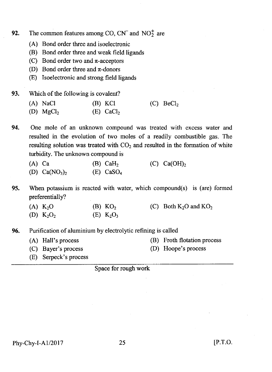- 92. The common features among CO, CN<sup>-</sup> and NO<sub>2</sub><sup>+</sup> are
	- (A) Bond order three and isoelectronic
	- (B) Bond order three and weak field ligands
	- (C) Bond order two and  $\pi$ -acceptors
	- (D) Bond order three and  $\pi$ -donors
	- (E) Isoelectronic and strong field ligands

### 93. Which of the following is covalent?

- (A) NaCl (B) KCI (C) BeCh
- (D)  $MgCl<sub>2</sub>$  (E)  $CaCl<sub>2</sub>$

94. One mole of an unknown compound was treated with excess water and resulted in the evolution of two moles of a readily combustible gas. The resulting solution was treated with  $CO<sub>2</sub>$  and resulted in the formation of white turbidity. The unknown compound is

(A) Ca  $(B)$  CaH<sub>2</sub> (C) Ca(OH)<sub>2</sub> (D)  $Ca(NO_3)_2$  (E)  $CaSO_4$ 

95. When potassium is reacted with water, which compound(s) is (are) formed preferentially?

(A)  $K_2O$  (B)  $KO_2$  (C) Both  $K_2O$  and  $KO_2$ (D)  $K_2O_2$  (E)  $K_2O_3$ 

### 96. Purification of aluminium by electrolytic refining is called

(A) Hall's process (B) Froth flotation process

- (C) Bayer's process (D) Hoope's process
- (E) Serpeck's process

## Space for rough work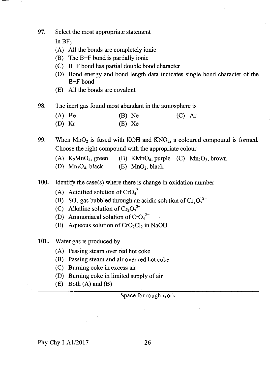#### 97 Select the most appropriate statement

 $In BF<sub>3</sub>$ 

- (A) All the bonds are completely ionic
- (B) The B-F bond is partially ionic
- (C) B-F bond has partial double bond character
- (D) Bond energy and bond length data indicates single bond character of the B-F bond
- (E) A11 the bonds are covalent
- 98. The inert gas found most abundant in the atmosphere is
	- (A) He  $(B)$  Ne  $(C)$  Ar (D) Kr (E) xe

99 When  $MnO<sub>2</sub>$  is fused with KOH and  $KNO<sub>2</sub>$ , a coloured compound is formed. Choose the right compound with the appropriate colour

- (A)  $K_2MnO_4$ , green (B) KMnO<sub>4</sub>, purple (C)  $Mn_2O_3$ , brown
- (D)  $Mn_3O_4$ , black (E)  $MnO_2$ , black
- 100. Identify the case(s) where there is change in oxidation number
	- (A) Acidified solution of  $CrO<sub>a</sub><sup>2-</sup>$
	- (B) SO<sub>2</sub> gas bubbled through an acidic solution of  $Cr_2O_7^{2-}$
	- (C) Alkaline solution of  $Cr_2O_7^{2-}$
	- (D) Ammoniacal solution of  $CrO<sub>4</sub><sup>2</sup>$
	- (E) Aqueous solution of  $CrO<sub>2</sub>Cl<sub>2</sub>$  in NaOH
- 101. Water gas is produced by
	- (A) Passing steam over red hot coke
	- (B) Passing steam and air over red hot coke
	- (C) Burning coke in excess air
	- (D) Burning coke in limited supply of air
	- (E) Both (A) and (B)

Space for rough work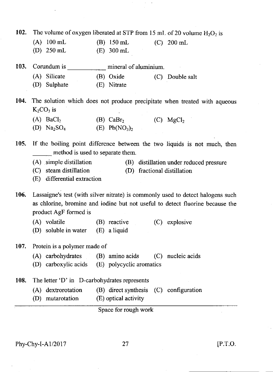| <b>102.</b> | The volume of oxygen liberated at STP from 15 mL of 20 volume $H_2O_2$ is |                         |                                        |                                                                                 |  |
|-------------|---------------------------------------------------------------------------|-------------------------|----------------------------------------|---------------------------------------------------------------------------------|--|
|             | $(A)$ 100 mL                                                              | (B) $150 \text{ mL}$    |                                        | $(C)$ 200 mL                                                                    |  |
|             | (D) $250 \text{ mL}$                                                      | $(E)$ 300 mL            |                                        |                                                                                 |  |
| 103.        | Corundum is                                                               |                         | mineral of aluminium.                  |                                                                                 |  |
|             | (A) Silicate                                                              | (B) Oxide               |                                        | (C) Double salt                                                                 |  |
|             | Sulphate<br>(D)                                                           | (E) Nitrate             |                                        |                                                                                 |  |
|             |                                                                           |                         |                                        | 104. The solution which does not produce precipitate when treated with aqueous  |  |
|             | $K_2CO_3$ is                                                              |                         |                                        |                                                                                 |  |
|             | $(A)$ BaCl <sub>2</sub>                                                   | $(B)$ CaBr <sub>2</sub> |                                        | $(C)$ MgCl <sub>2</sub>                                                         |  |
|             | (D) $Na2SO4$                                                              | (E) $Pb(NO3)2$          |                                        |                                                                                 |  |
| 105.        |                                                                           |                         |                                        | If the boiling point difference between the two liquids is not much, then       |  |
|             | method is used to separate them.                                          |                         |                                        |                                                                                 |  |
|             | (A) simple distillation                                                   |                         |                                        | (B) distillation under reduced pressure                                         |  |
|             | (C) steam distillation                                                    |                         | (D) fractional distillation            |                                                                                 |  |
|             | differential extraction<br>(E)                                            |                         |                                        |                                                                                 |  |
| 106.        |                                                                           |                         |                                        | Lassaigne's test (with silver nitrate) is commonly used to detect halogens such |  |
|             |                                                                           |                         |                                        | as chlorine, bromine and iodine but not useful to detect fluorine because the   |  |
|             | product AgF formed is                                                     |                         |                                        |                                                                                 |  |
|             | (A) volatile                                                              | (B) reactive            |                                        | (C) explosive                                                                   |  |
|             | (D) soluble in water (E) a liquid                                         |                         |                                        |                                                                                 |  |
| 107.        | Protein is a polymer made of                                              |                         |                                        |                                                                                 |  |
|             | (A) carbohydrates                                                         | (B) amino acids         |                                        | (C) nucleic acids                                                               |  |
|             | carboxylic acids<br>(D)                                                   |                         | (E) polycyclic aromatics               |                                                                                 |  |
| 108.        | The letter 'D' in D-carbohydrates represents                              |                         |                                        |                                                                                 |  |
|             | (A) dextrorotation                                                        |                         | (B) direct synthesis (C) configuration |                                                                                 |  |
|             | mutarotation<br>(D)                                                       | (E) optical activity    |                                        |                                                                                 |  |
|             | Space for rough work                                                      |                         |                                        |                                                                                 |  |

Phy-Chy-I-A1/2017 27 [P.T.O.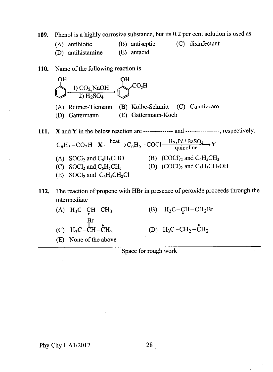

- (A) antibiotic (B) antiseptic (C) disinfectant
	-

(D) antihistamine (E) antacid

110. Name of the following reaction is

H H 1) CO<sub>2</sub> NaOH  $\sqrt{CO_2H}$ 2) H2SOa (A) Reimer-Tiemann (B) Kolbe-Schmitt (C) Cannizzaro (D) Gattermann (E) Gattermann-Koch 111. X and Y in the below reaction are -------------- and ---------------, respectively.  $C_6H_5-CO_2H+X \xrightarrow{\text{heat}} C_6H_5-COCl \xrightarrow{\text{H}_2, Pd/BaSO_4} Y$ (A) SOCI<sub>2</sub> and C<sub>6</sub>H<sub>5</sub>CHO (B) (COCI)<sub>2</sub> and C<sub>6</sub>H<sub>5</sub>CH<sub>3</sub> (C) SOCl<sub>2</sub> and C<sub>6</sub>H<sub>5</sub>CH<sub>3</sub> (D) (COCl)<sub>2</sub> and C<sub>6</sub>H<sub>5</sub>CH<sub>2</sub>OH

- $(E)$  SOCl<sub>2</sub> and  $C_6H_5CH_2Cl$
- 112. The reaction of propene with HBr in presence of peroxide proceeds through the intermediate
	- $(A)$  H<sub>3</sub>C-CH-CH<sub>3</sub> Br (C)  $H_3C-\overline{CH}-\overline{CH}_2$
- (B)  $H_3C-CH-CH_2Br$
- (D)  $H_3C-CH_2-CH_2$
- (E) None of the above

Space for rough work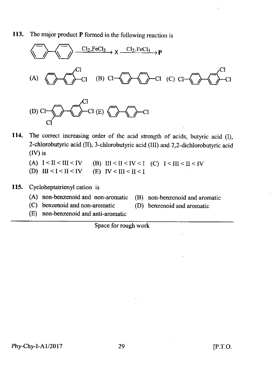I13.. The major product P formed in the following reaction is



114. The correct increasing order of the acid strength of acids, butyric acid (I), 2-chlorobutyric acid (II), 3-chlorobutyric acid (III) and 2,2-dichlorobutyric acid (IV) is

(A)  $I < II < III < IV$  (B)  $III < II < IV < I$  (C)  $I < III < II < IV$ <br>(D)  $III < I < II < IV$  (E)  $IV < III < II < I$ 

(E)  $IV < III < II < I$ 

115. Cycloheptatrienyl cation is

- (A) non-benzenoid and non-aromatic (B) non-benzenoid and aromatic
	-
- (C) benzenoid and non-aromatic
- (D) benzenoid and aromatic
- (E) non-benzenoidandanti-aromatic

Space for rough work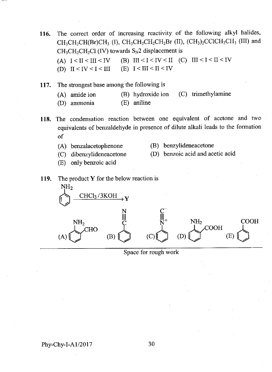- 116. The correct order of increasing reactivity of the following alkyl halides,  $CH_3CH_2CH(Br)CH_3$  (I),  $CH_3CH_2CH_2CH_2Br$  (II),  $(CH_3)_2CCICH_2CH_3$  (III) and  $CH_3CH_2CH_2Cl$  (IV) towards  $S_N2$  displacement is (A)  $I < II < III < IV$  (B)  $III < I < IV < II$  (C)  $III < I < II < IV$ (D)  $II \leq IV \leq I \leq III$  (E)  $I \leq III \leq II \leq IV$
- 117. The strongest base among the following is
	- (A) amide ion (B) hydroxide ion (C) trimethylamine
	- (D) ammonia (E) aniline
- 118. The condensation reaction between one equivalent of acetone and two equivalents of benzaldehyde in presence of dilute alkali leads to the formation of
	-
	-
	- (E) only benzoic acid
	- (A) benzalacetophenone (B) benzylideneacetone
	- (C) dibenzylideneacetone (D) benzoic acid and acetic acid
- 119. The product Y for the below reaction is

 $NH<sub>2</sub>$ CHCl<sub>3</sub>/3KOH N ilt C  $NH<sub>2</sub>$ NH<sub>2</sub> COOH  $H$ OOH  $(A)$   $(A)$   $(B)$   $(B)$   $(C)$   $(C)$   $(C)$   $(D)$   $(L)$   $(E)$ 

Space for rough work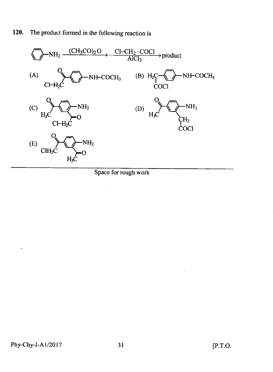# 120. The product formed in the following reaction is



Space for rough work

 $\ddot{\phantom{a}}$ 

Phy-Chy-I-A1/2017 31 [P.T.O.